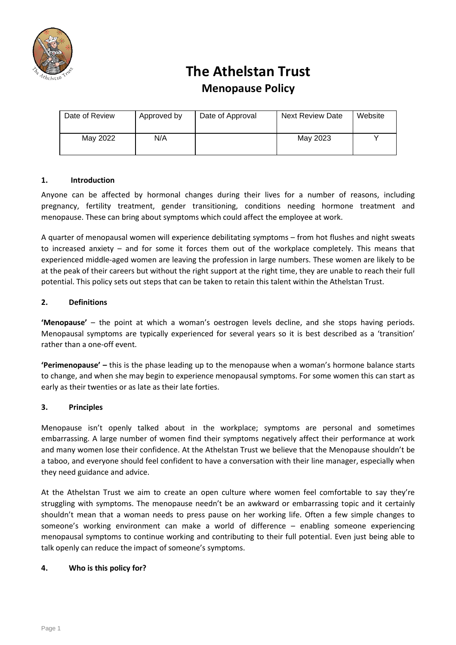

# **The Athelstan Trust Menopause Policy**

| Date of Review | Approved by | Date of Approval | <b>Next Review Date</b> | Website |
|----------------|-------------|------------------|-------------------------|---------|
| May 2022       | N/A         |                  | May 2023                |         |

# **1. Introduction**

Anyone can be affected by hormonal changes during their lives for a number of reasons, including pregnancy, fertility treatment, gender transitioning, conditions needing hormone treatment and menopause. These can bring about symptoms which could affect the employee at work.

A quarter of menopausal women will experience debilitating symptoms – from hot flushes and night sweats to increased anxiety – and for some it forces them out of the workplace completely. This means that experienced middle-aged women are leaving the profession in large numbers. These women are likely to be at the peak of their careers but without the right support at the right time, they are unable to reach their full potential. This policy sets out steps that can be taken to retain this talent within the Athelstan Trust.

### **2. Definitions**

**'Menopause'** – the point at which a woman's oestrogen levels decline, and she stops having periods. Menopausal symptoms are typically experienced for several years so it is best described as a 'transition' rather than a one-off event.

**'Perimenopause' –** this is the phase leading up to the menopause when a woman's hormone balance starts to change, and when she may begin to experience menopausal symptoms. For some women this can start as early as their twenties or as late as their late forties.

# **3. Principles**

Menopause isn't openly talked about in the workplace; symptoms are personal and sometimes embarrassing. A large number of women find their symptoms negatively affect their performance at work and many women lose their confidence. At the Athelstan Trust we believe that the Menopause shouldn't be a taboo, and everyone should feel confident to have a conversation with their line manager, especially when they need guidance and advice.

At the Athelstan Trust we aim to create an open culture where women feel comfortable to say they're struggling with symptoms. The menopause needn't be an awkward or embarrassing topic and it certainly shouldn't mean that a woman needs to press pause on her working life. Often a few simple changes to someone's working environment can make a world of difference – enabling someone experiencing menopausal symptoms to continue working and contributing to their full potential. Even just being able to talk openly can reduce the impact of someone's symptoms.

#### **4. Who is this policy for?**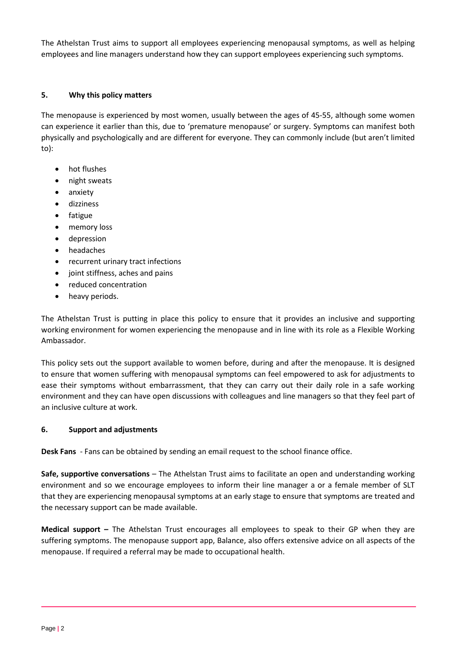The Athelstan Trust aims to support all employees experiencing menopausal symptoms, as well as helping employees and line managers understand how they can support employees experiencing such symptoms.

## **5. Why this policy matters**

The menopause is experienced by most women, usually between the ages of 45-55, although some women can experience it earlier than this, due to 'premature menopause' or surgery. Symptoms can manifest both physically and psychologically and are different for everyone. They can commonly include (but aren't limited to):

- hot flushes
- night sweats
- anxiety
- dizziness
- fatigue
- memory loss
- depression
- headaches
- recurrent urinary tract infections
- joint stiffness, aches and pains
- reduced concentration
- heavy periods.

The Athelstan Trust is putting in place this policy to ensure that it provides an inclusive and supporting working environment for women experiencing the menopause and in line with its role as a Flexible Working Ambassador.

This policy sets out the support available to women before, during and after the menopause. It is designed to ensure that women suffering with menopausal symptoms can feel empowered to ask for adjustments to ease their symptoms without embarrassment, that they can carry out their daily role in a safe working environment and they can have open discussions with colleagues and line managers so that they feel part of an inclusive culture at work.

# **6. Support and adjustments**

**Desk Fans** - Fans can be obtained by sending an email request to the school finance office.

**Safe, supportive conversations** – The Athelstan Trust aims to facilitate an open and understanding working environment and so we encourage employees to inform their line manager a or a female member of SLT that they are experiencing menopausal symptoms at an early stage to ensure that symptoms are treated and the necessary support can be made available.

**Medical support –** The Athelstan Trust encourages all employees to speak to their GP when they are suffering symptoms. The menopause support app, Balance, also offers extensive advice on all aspects of the menopause. If required a referral may be made to occupational health.